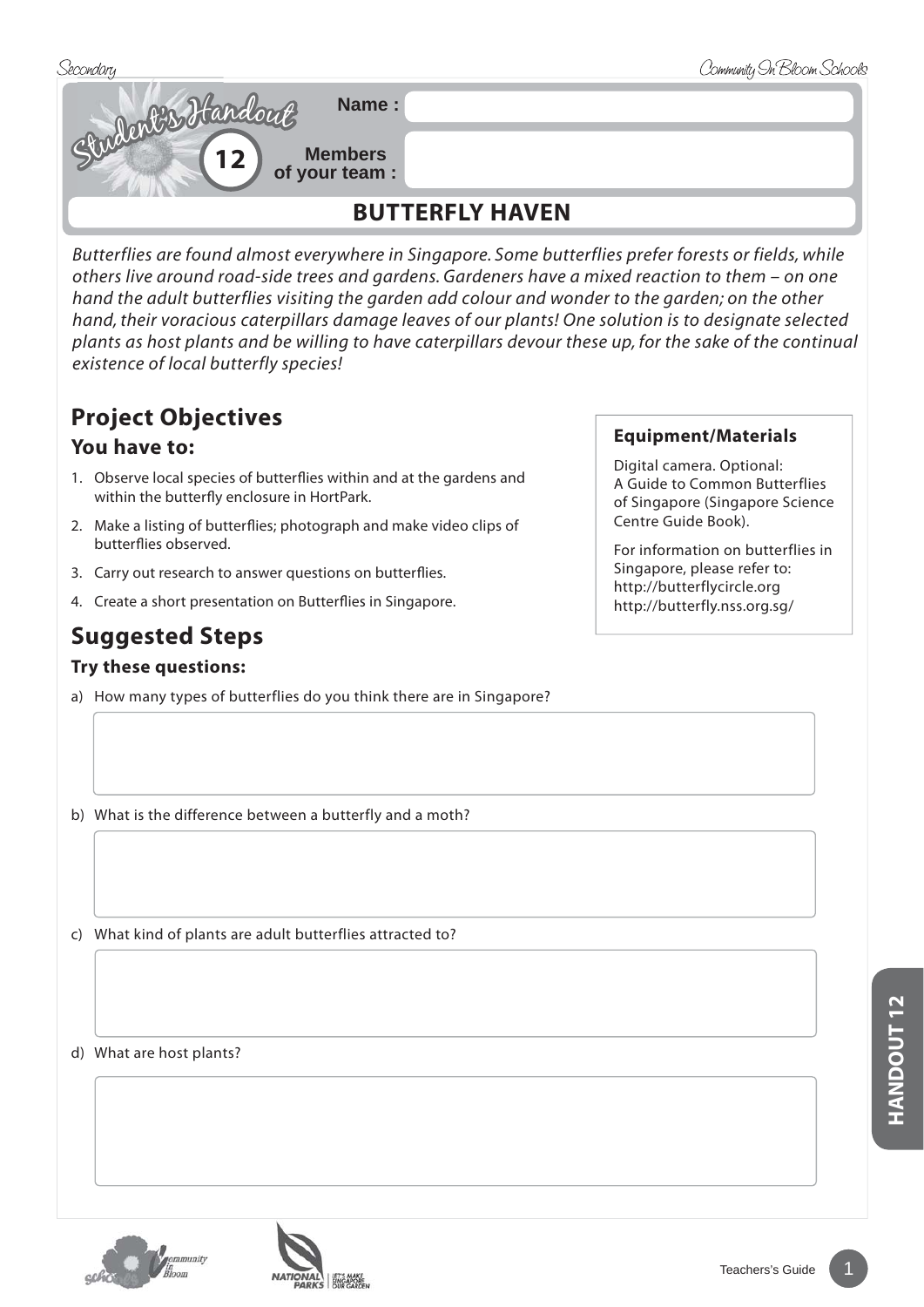

*Butterflies are found almost everywhere in Singapore. Some butterflies prefer forests or fields, while others live around road-side trees and gardens. Gardeners have a mixed reaction to them – on one hand the adult butterflies visiting the garden add colour and wonder to the garden; on the other hand, their voracious caterpillars damage leaves of our plants! One solution is to designate selected plants as host plants and be willing to have caterpillars devour these up, for the sake of the continual existence of local butterfly species!*

## **Project Objectives**

### **You have to:**

- 1. Observe local species of butterflies within and at the gardens and within the butterfly enclosure in HortPark.
- 2. Make a listing of butterflies; photograph and make video clips of butterflies observed.
- 3. Carry out research to answer questions on butterflies.
- 4. Create a short presentation on Butterflies in Singapore.

# **Suggested Steps**

#### **Try these questions:**

a) How many types of butterflies do you think there are in Singapore?

#### **Equipment/Materials**

Digital camera. Optional: A Guide to Common Butterflies of Singapore (Singapore Science Centre Guide Book).

For information on butterflies in Singapore, please refer to: http://butterflycircle.org http://butterfly.nss.org.sg/

b) What is the difference between a butterfly and a moth?

c) What kind of plants are adult butterflies attracted to?

d) What are host plants?